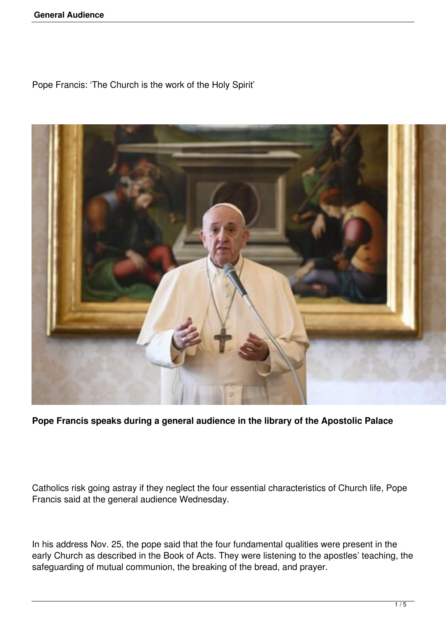Pope Francis: 'The Church is the work of the Holy Spirit'



**Pope Francis speaks during a general audience in the library of the Apostolic Palace**

Catholics risk going astray if they neglect the four essential characteristics of Church life, Pope Francis said at the general audience Wednesday.

In his address Nov. 25, the pope said that the four fundamental qualities were present in the early Church as described in the Book of Acts. They were listening to the apostles' teaching, the safeguarding of mutual communion, the breaking of the bread, and prayer.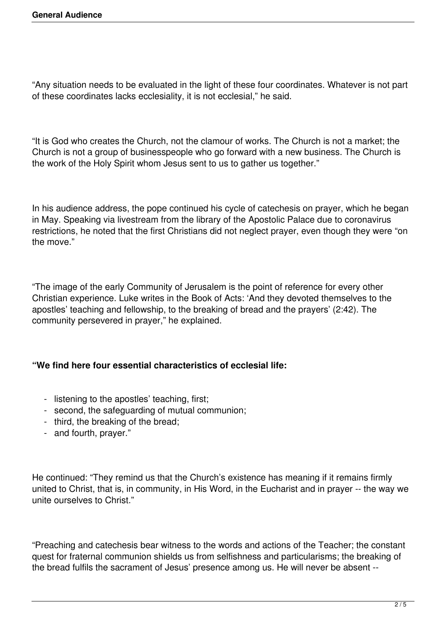"Any situation needs to be evaluated in the light of these four coordinates. Whatever is not part of these coordinates lacks ecclesiality, it is not ecclesial," he said.

"It is God who creates the Church, not the clamour of works. The Church is not a market; the Church is not a group of businesspeople who go forward with a new business. The Church is the work of the Holy Spirit whom Jesus sent to us to gather us together."

In his audience address, the pope continued his cycle of catechesis on prayer, which he began in May. Speaking via livestream from the library of the Apostolic Palace due to coronavirus restrictions, he noted that the first Christians did not neglect prayer, even though they were "on the move."

"The image of the early Community of Jerusalem is the point of reference for every other Christian experience. Luke writes in the Book of Acts: 'And they devoted themselves to the apostles' teaching and fellowship, to the breaking of bread and the prayers' (2:42). The community persevered in prayer," he explained.

## **"We find here four essential characteristics of ecclesial life:**

- listening to the apostles' teaching, first;
- second, the safeguarding of mutual communion;
- third, the breaking of the bread;
- and fourth, prayer."

He continued: "They remind us that the Church's existence has meaning if it remains firmly united to Christ, that is, in community, in His Word, in the Eucharist and in prayer -- the way we unite ourselves to Christ."

"Preaching and catechesis bear witness to the words and actions of the Teacher; the constant quest for fraternal communion shields us from selfishness and particularisms; the breaking of the bread fulfils the sacrament of Jesus' presence among us. He will never be absent --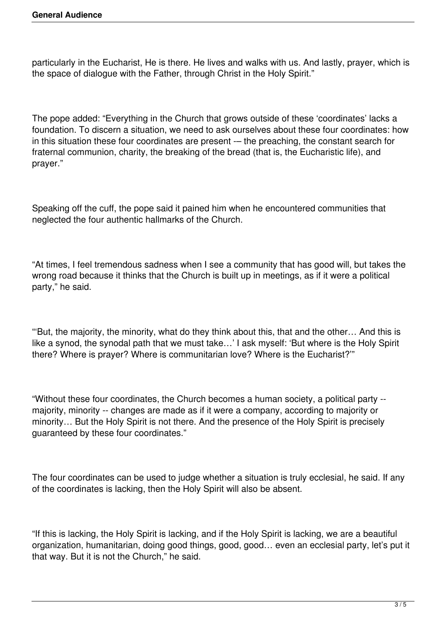particularly in the Eucharist, He is there. He lives and walks with us. And lastly, prayer, which is the space of dialogue with the Father, through Christ in the Holy Spirit."

The pope added: "Everything in the Church that grows outside of these 'coordinates' lacks a foundation. To discern a situation, we need to ask ourselves about these four coordinates: how in this situation these four coordinates are present -- the preaching, the constant search for fraternal communion, charity, the breaking of the bread (that is, the Eucharistic life), and prayer."

Speaking off the cuff, the pope said it pained him when he encountered communities that neglected the four authentic hallmarks of the Church.

"At times, I feel tremendous sadness when I see a community that has good will, but takes the wrong road because it thinks that the Church is built up in meetings, as if it were a political party," he said.

"'But, the majority, the minority, what do they think about this, that and the other… And this is like a synod, the synodal path that we must take…' I ask myself: 'But where is the Holy Spirit there? Where is prayer? Where is communitarian love? Where is the Eucharist?'"

"Without these four coordinates, the Church becomes a human society, a political party - majority, minority -- changes are made as if it were a company, according to majority or minority… But the Holy Spirit is not there. And the presence of the Holy Spirit is precisely guaranteed by these four coordinates."

The four coordinates can be used to judge whether a situation is truly ecclesial, he said. If any of the coordinates is lacking, then the Holy Spirit will also be absent.

"If this is lacking, the Holy Spirit is lacking, and if the Holy Spirit is lacking, we are a beautiful organization, humanitarian, doing good things, good, good… even an ecclesial party, let's put it that way. But it is not the Church," he said.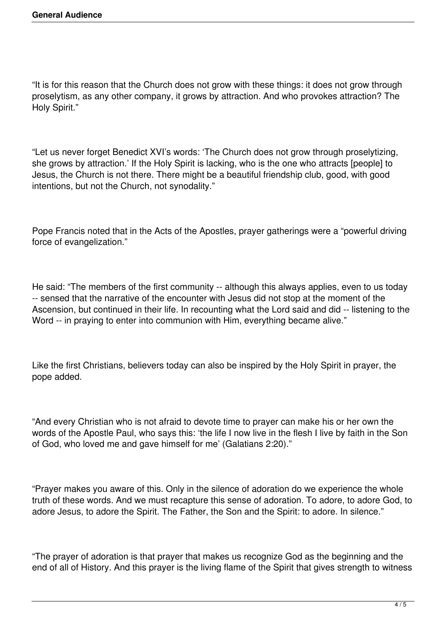"It is for this reason that the Church does not grow with these things: it does not grow through proselytism, as any other company, it grows by attraction. And who provokes attraction? The Holy Spirit."

"Let us never forget Benedict XVI's words: 'The Church does not grow through proselytizing, she grows by attraction.' If the Holy Spirit is lacking, who is the one who attracts [people] to Jesus, the Church is not there. There might be a beautiful friendship club, good, with good intentions, but not the Church, not synodality."

Pope Francis noted that in the Acts of the Apostles, prayer gatherings were a "powerful driving force of evangelization."

He said: "The members of the first community -- although this always applies, even to us today -- sensed that the narrative of the encounter with Jesus did not stop at the moment of the Ascension, but continued in their life. In recounting what the Lord said and did -- listening to the Word -- in praying to enter into communion with Him, everything became alive."

Like the first Christians, believers today can also be inspired by the Holy Spirit in prayer, the pope added.

"And every Christian who is not afraid to devote time to prayer can make his or her own the words of the Apostle Paul, who says this: 'the life I now live in the flesh I live by faith in the Son of God, who loved me and gave himself for me' (Galatians 2:20)."

"Prayer makes you aware of this. Only in the silence of adoration do we experience the whole truth of these words. And we must recapture this sense of adoration. To adore, to adore God, to adore Jesus, to adore the Spirit. The Father, the Son and the Spirit: to adore. In silence."

"The prayer of adoration is that prayer that makes us recognize God as the beginning and the end of all of History. And this prayer is the living flame of the Spirit that gives strength to witness